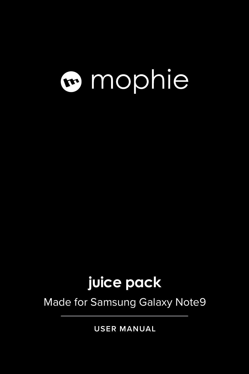# mophie

### **juice pack**

Made for Samsung Galaxy Note9

**USER MANUAL**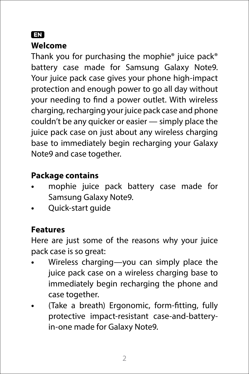#### EN

#### **Welcome**

Thank you for purchasing the mophie® juice pack® battery case made for Samsung Galaxy Note9. Your juice pack case gives your phone high-impact protection and enough power to go all day without your needing to find a power outlet. With wireless charging, recharging your juice pack case and phone couldn't be any quicker or easier — simply place the juice pack case on just about any wireless charging base to immediately begin recharging your Galaxy Note9 and case together.

#### **Package contains**

- **•** mophie juice pack battery case made for Samsung Galaxy Note9.
- **•** Quick-start guide

#### **Features**

Here are just some of the reasons why your juice pack case is so great:

- **•** Wireless charging—you can simply place the juice pack case on a wireless charging base to immediately begin recharging the phone and case together.
- **•** (Take a breath) Ergonomic, form-fitting, fully protective impact-resistant case-and-batteryin-one made for Galaxy Note9.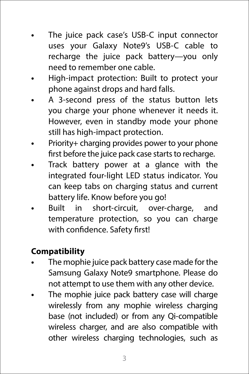- **•** The juice pack case's USB-C input connector uses your Galaxy Note9's USB-C cable to recharge the juice pack battery—you only need to remember one cable.
- **•** High-impact protection: Built to protect your phone against drops and hard falls.
- **•** A 3-second press of the status button lets you charge your phone whenever it needs it. However, even in standby mode your phone still has high-impact protection.
- **•** Priority+ charging provides power to your phone first before the juice pack case starts to recharge.
- **•** Track battery power at a glance with the integrated four-light LED status indicator. You can keep tabs on charging status and current battery life. Know before you go!
- **•** Built in short-circuit, over-charge, and temperature protection, so you can charge with confidence. Safety first!

#### **Compatibility**

- **•** The mophie juice pack battery case made for the Samsung Galaxy Note9 smartphone. Please do not attempt to use them with any other device.
- **•** The mophie juice pack battery case will charge wirelessly from any mophie wireless charging base (not included) or from any Qi-compatible wireless charger, and are also compatible with other wireless charging technologies, such as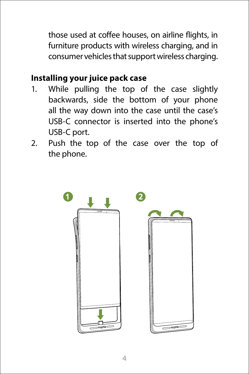those used at coffee houses, on airline flights, in furniture products with wireless charging, and in consumer vehicles that support wireless charging.

#### **Installing your juice pack case**

- 1. While pulling the top of the case slightly backwards, side the bottom of your phone all the way down into the case until the case's USB-C connector is inserted into the phone's USB-C port.
- 2. Push the top of the case over the top of the phone.

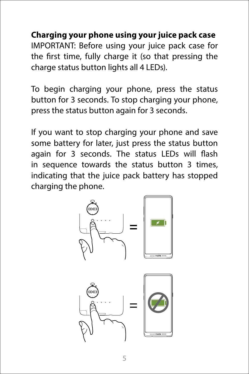#### **Charging your phone using your juice pack case**

IMPORTANT: Before using your juice pack case for the first time, fully charge it (so that pressing the charge status button lights all 4 LEDs).

To begin charging your phone, press the status button for 3 seconds. To stop charging your phone, press the status button again for 3 seconds.

If you want to stop charging your phone and save some battery for later, just press the status button again for 3 seconds. The status LEDs will flash in sequence towards the status button 3 times, indicating that the juice pack battery has stopped charging the phone.

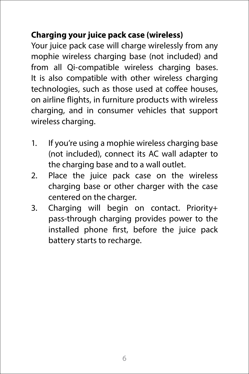#### **Charging your juice pack case (wireless)**

Your juice pack case will charge wirelessly from any mophie wireless charging base (not included) and from all Qi-compatible wireless charging bases. It is also compatible with other wireless charging technologies, such as those used at coffee houses, on airline flights, in furniture products with wireless charging, and in consumer vehicles that support wireless charging.

- 1. If you're using a mophie wireless charging base (not included), connect its AC wall adapter to the charging base and to a wall outlet.
- 2. Place the juice pack case on the wireless charging base or other charger with the case centered on the charger.
- 3. Charging will begin on contact. Priority+ pass-through charging provides power to the installed phone first, before the juice pack battery starts to recharge.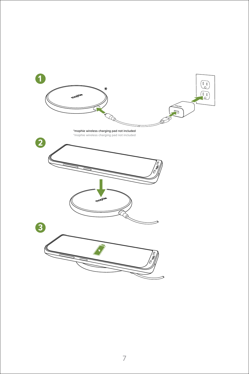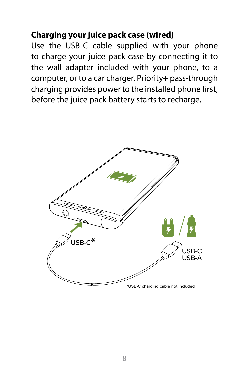#### **Charging your juice pack case (wired)**

Use the USB-C cable supplied with your phone to charge your juice pack case by connecting it to the wall adapter included with your phone, to a computer, or to a car charger. Priority+ pass-through charging provides power to the installed phone first, before the juice pack battery starts to recharge.

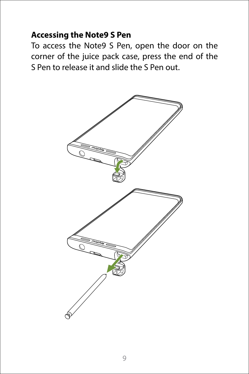#### **Accessing the Note9 S Pen**

To access the Note9 S Pen, open the door on the corner of the juice pack case, press the end of the S Pen to release it and slide the S Pen out.

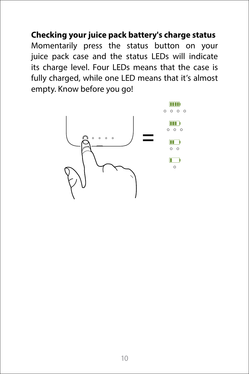**Checking your juice pack battery's charge status** Momentarily press the status button on your juice pack case and the status LEDs will indicate its charge level. Four LEDs means that the case is fully charged, while one LED means that it's almost empty. Know before you go!

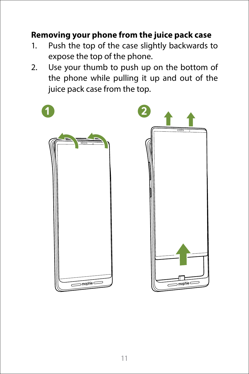#### **Removing your phone from the juice pack case**

- 1. Push the top of the case slightly backwards to expose the top of the phone.
- 2. Use your thumb to push up on the bottom of the phone while pulling it up and out of the juice pack case from the top.

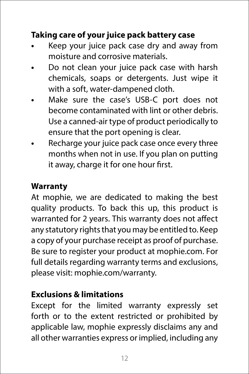#### **Taking care of your juice pack battery case**

- **•** Keep your juice pack case dry and away from moisture and corrosive materials.
- **•** Do not clean your juice pack case with harsh chemicals, soaps or detergents. Just wipe it with a soft, water-dampened cloth.
- **•** Make sure the case's USB-C port does not become contaminated with lint or other debris. Use a canned-air type of product periodically to ensure that the port opening is clear.
- **•** Recharge your juice pack case once every three months when not in use. If you plan on putting it away, charge it for one hour first.

#### **Warranty**

At mophie, we are dedicated to making the best quality products. To back this up, this product is warranted for 2 years. This warranty does not affect any statutory rights that you may be entitled to. Keep a copy of your purchase receipt as proof of purchase. Be sure to register your product at mophie.com. For full details regarding warranty terms and exclusions, please visit: [mophie.com/warranty](http://mophie.com/warranty).

#### **Exclusions & limitations**

Except for the limited warranty expressly set forth or to the extent restricted or prohibited by applicable law, mophie expressly disclaims any and all other warranties express or implied, including any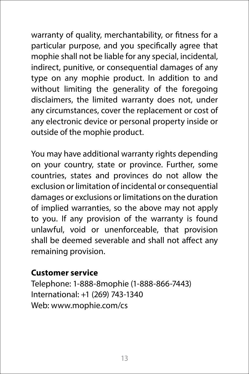warranty of quality, merchantability, or fitness for a particular purpose, and you specifically agree that mophie shall not be liable for any special, incidental, indirect, punitive, or consequential damages of any type on any mophie product. In addition to and without limiting the generality of the foregoing disclaimers, the limited warranty does not, under any circumstances, cover the replacement or cost of any electronic device or personal property inside or outside of the mophie product.

You may have additional warranty rights depending on your country, state or province. Further, some countries, states and provinces do not allow the exclusion or limitation of incidental or consequential damages or exclusions or limitations on the duration of implied warranties, so the above may not apply to you. If any provision of the warranty is found unlawful, void or unenforceable, that provision shall be deemed severable and shall not affect any remaining provision.

#### **Customer service**

Telephone: 1-888-8mophie (1-888-866-7443) International: +1 (269) 743-1340 Web: www.mophie.com/cs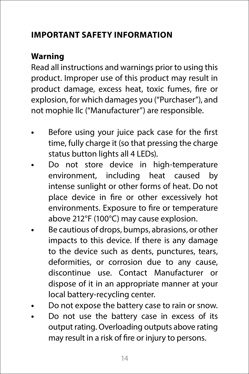#### **IMPORTANT SAFETY INFORMATION**

#### **Warning**

Read all instructions and warnings prior to using this product. Improper use of this product may result in product damage, excess heat, toxic fumes, fire or explosion, for which damages you ("Purchaser"), and not mophie llc ("Manufacturer") are responsible.

- **•** Before using your juice pack case for the first time, fully charge it (so that pressing the charge status button lights all 4 LEDs).
- **•** Do not store device in high-temperature environment, including heat caused by intense sunlight or other forms of heat. Do not place device in fire or other excessively hot environments. Exposure to fire or temperature above 212°F (100°C) may cause explosion.
- **•** Be cautious of drops, bumps, abrasions, or other impacts to this device. If there is any damage to the device such as dents, punctures, tears, deformities, or corrosion due to any cause, discontinue use. Contact Manufacturer or dispose of it in an appropriate manner at your local battery-recycling center.
- **•** Do not expose the battery case to rain or snow.
- **•** Do not use the battery case in excess of its output rating. Overloading outputs above rating may result in a risk of fire or injury to persons.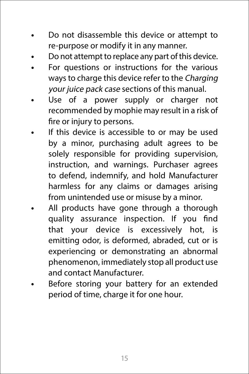- **•** Do not disassemble this device or attempt to re-purpose or modify it in any manner.
- **•** Do not attempt to replace any part of this device.
- **•** For questions or instructions for the various ways to charge this device refer to the Charging your juice pack case sections of this manual.
- **•** Use of a power supply or charger not recommended by mophie may result in a risk of fire or injury to persons.
- **•** If this device is accessible to or may be used by a minor, purchasing adult agrees to be solely responsible for providing supervision, instruction, and warnings. Purchaser agrees to defend, indemnify, and hold Manufacturer harmless for any claims or damages arising from unintended use or misuse by a minor.
- **•** All products have gone through a thorough quality assurance inspection. If you find that your device is excessively hot, is emitting odor, is deformed, abraded, cut or is experiencing or demonstrating an abnormal phenomenon, immediately stop all product use and contact Manufacturer.
- **•** Before storing your battery for an extended period of time, charge it for one hour.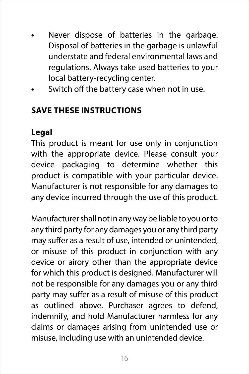- **•** Never dispose of batteries in the garbage. Disposal of batteries in the garbage is unlawful understate and federal environmental laws and regulations. Always take used batteries to your local battery-recycling center.
- **•** Switch off the battery case when not in use.

#### **SAVE THESE INSTRUCTIONS**

#### **Legal**

This product is meant for use only in conjunction with the appropriate device. Please consult your device packaging to determine whether this product is compatible with your particular device. Manufacturer is not responsible for any damages to any device incurred through the use of this product.

Manufacturer shall not in any way be liable to you or to any third party for any damages you or any third party may suffer as a result of use, intended or unintended, or misuse of this product in conjunction with any device or airory other than the appropriate device for which this product is designed. Manufacturer will not be responsible for any damages you or any third party may suffer as a result of misuse of this product as outlined above. Purchaser agrees to defend, indemnify, and hold Manufacturer harmless for any claims or damages arising from unintended use or misuse, including use with an unintended device.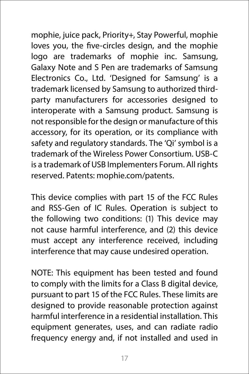mophie, juice pack, Priority+, Stay Powerful, mophie loves you, the five-circles design, and the mophie logo are trademarks of mophie inc. Samsung, Galaxy Note and S Pen are trademarks of Samsung Electronics Co., Ltd. 'Designed for Samsung' is a trademark licensed by Samsung to authorized thirdparty manufacturers for accessories designed to interoperate with a Samsung product. Samsung is not responsible for the design or manufacture of this accessory, for its operation, or its compliance with safety and regulatory standards. The 'Qi' symbol is a trademark of the Wireless Power Consortium. USB-C is a trademark of USB Implementers Forum. All rights reserved. Patents: mophie.com/patents.

This device complies with part 15 of the FCC Rules and RSS-Gen of IC Rules. Operation is subject to the following two conditions: (1) This device may not cause harmful interference, and (2) this device must accept any interference received, including interference that may cause undesired operation.

NOTE: This equipment has been tested and found to comply with the limits for a Class B digital device, pursuant to part 15 of the FCC Rules. These limits are designed to provide reasonable protection against harmful interference in a residential installation. This equipment generates, uses, and can radiate radio frequency energy and, if not installed and used in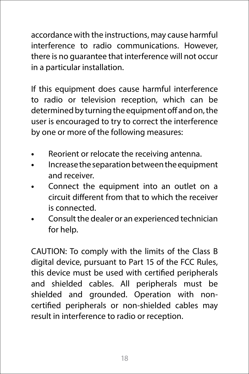accordance with the instructions, may cause harmful interference to radio communications. However, there is no guarantee that interference will not occur in a particular installation.

If this equipment does cause harmful interference to radio or television reception, which can be determined by turning the equipment off and on, the user is encouraged to try to correct the interference by one or more of the following measures:

- **•** Reorient or relocate the receiving antenna.
- **•** Increase the separation between the equipment and receiver.
- **•** Connect the equipment into an outlet on a circuit different from that to which the receiver is connected.
- **•** Consult the dealer or an experienced technician for help.

CAUTION: To comply with the limits of the Class B digital device, pursuant to Part 15 of the FCC Rules, this device must be used with certified peripherals and shielded cables. All peripherals must be shielded and grounded. Operation with noncertified peripherals or non-shielded cables may result in interference to radio or reception.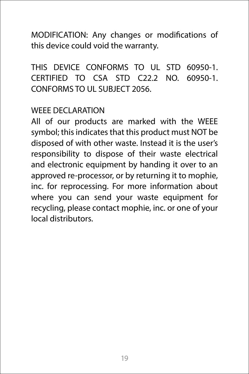MODIFICATION: Any changes or modifications of this device could void the warranty.

THIS DEVICE CONFORMS TO UL STD 60950-1. CERTIFIED TO CSA STD C22.2 NO. 60950-1. CONFORMS TO UL SUBJECT 2056.

#### WEEE DECLARATION

All of our products are marked with the WEEE symbol; this indicates that this product must NOT be disposed of with other waste. Instead it is the user's responsibility to dispose of their waste electrical and electronic equipment by handing it over to an approved re-processor, or by returning it to mophie, inc. for reprocessing. For more information about where you can send your waste equipment for recycling, please contact mophie, inc. or one of your local distributors.